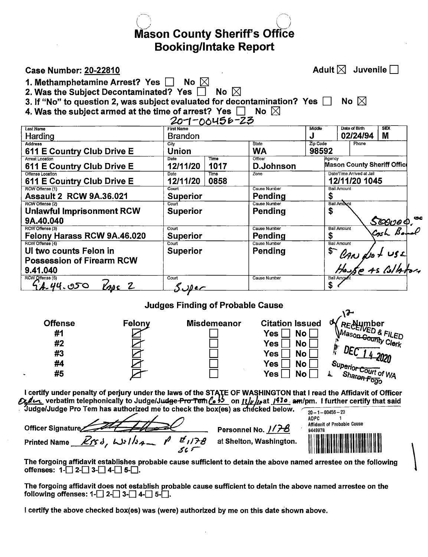**Mason County Sheriff's Office Booking/Intake Report** 

### **Case Number: 20-22810**

Adult  $\boxtimes$  Juvenile  $\Box$ 

1. Methamphetamine Arrest? Yes a No  $\boxtimes$ 

2. Was the Subject Decontaminated? Yes  $\Box$ No  $\boxtimes$ 

3. If "No" to question 2, was subject evaluated for decontamination? Yes  $\Box$ No  $\boxtimes$ 

4. Was the subject armed at the time of arrest? Yes  $\Box$  No  $\boxtimes$ 

|                                  |                   | $20 - 00455 - 25$ |                     |          |                                    |            |  |  |
|----------------------------------|-------------------|-------------------|---------------------|----------|------------------------------------|------------|--|--|
| <b>Last Name</b>                 | <b>First Name</b> |                   |                     | Middle   | Date of Birth                      | <b>SEX</b> |  |  |
| Harding                          | <b>Brandon</b>    |                   |                     | J        | 02/24/94                           | M          |  |  |
| <b>Address</b>                   | City              |                   | State               | Zip Code | Phone                              |            |  |  |
| 611 E Country Club Drive E       | Union             |                   | <b>WA</b>           | 98592    |                                    |            |  |  |
| <b>Arrest Location</b>           | Date              | Time              | Officer             | Agency   |                                    |            |  |  |
| 611 E Country Club Drive E       | 12/11/20          | 1017              | D.Johnson           |          | <b>Mason County Sheriff Office</b> |            |  |  |
| Offense Location                 | Date              | Time              | Zone                |          | Date/Time Arrived at Jail          |            |  |  |
| 611 E Country Club Drive E       | 12/11/20          | 0858              |                     |          | 12/11/20 1045                      |            |  |  |
| RCW Offense (1)                  | Court             |                   | <b>Cause Number</b> |          | <b>Bail Amount</b>                 |            |  |  |
| <b>Assault 2 RCW 9A.36.021</b>   | <b>Superior</b>   |                   | Pending             | S        |                                    |            |  |  |
| RCW Offense (2)                  | Court             |                   | Cause Number        |          | <b>Bail Amount</b>                 |            |  |  |
| <b>Unlawful Imprisonment RCW</b> | <b>Superior</b>   |                   | Pending             | \$       |                                    |            |  |  |
| 9A.40.040                        |                   |                   |                     |          |                                    | Scoved. or |  |  |
| RCW Offense (3)                  | Court             |                   | <b>Cause Number</b> |          | <b>Bail Amount</b>                 |            |  |  |
| Felony Harass RCW 9A.46.020      | <b>Superior</b>   |                   | Pending             | \$       |                                    |            |  |  |
| RCW Offense (4)                  | Court             |                   | <b>Cause Number</b> |          | <b>Bail Amount</b>                 |            |  |  |
| Ul two counts Felon in           | <b>Superior</b>   |                   | Pending             | \$       |                                    |            |  |  |
| <b>Possession of Firearm RCW</b> |                   |                   |                     |          |                                    |            |  |  |
| 9.41.040                         |                   |                   |                     |          | CAN dot USE<br>House 45 Collators  |            |  |  |
| RCW Offense (5)                  | Court             |                   | Cause Number        |          | Bail Amoun                         |            |  |  |
| 44.44.050<br>$\ell_{ABC}$ 2      | <u>. JDec</u>     |                   |                     | \$       |                                    |            |  |  |
|                                  |                   |                   |                     |          |                                    |            |  |  |

# **Judges Finding of Probable Cause**



I certify under penalty of perjury under the laws of the STATE OF WASHINGTON that I read the Affidavit of Officer<br> *Calce* verbatim telephonically to Judge/Judge Pro Tem (e <sup>35</sup> on *[1]* As at *1930* am/pm. I further cert

| Officer Signature                                  | Personnel No. 1178      | 20 - 1 - 00456 - 23<br>ADPC<br>Affidavit of Probable Cause<br>9449978 |
|----------------------------------------------------|-------------------------|-----------------------------------------------------------------------|
| ฮ์ เ 178<br>Rrsd, Wsllsgn P<br><b>Printed Name</b> | at Shelton, Washington. |                                                                       |

The forgoing affidavit establishes probable cause sufficient to detain the above named arrestee on the following offenses:  $1 - 2 - 3 - 4 - 5 - 1$ .

The forgoing affidavit does not establish probable cause sufficient to detain the above named arrestee on the following offenses:  $1 - 2 - 3 - 4 - 5 - 1$ .

I certify the above checked box(es) was (were) authorized by me on this date shown above.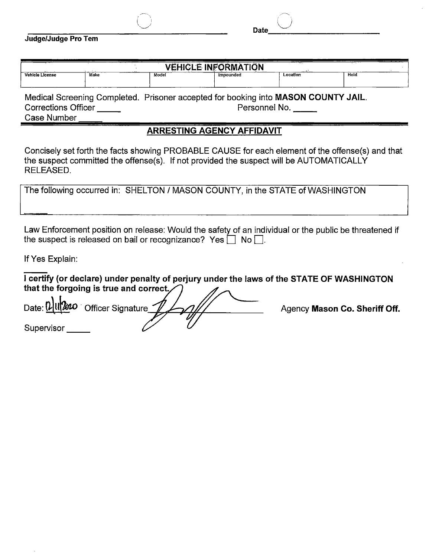|  |  | Judge/Judge Pro Tem |  |  |
|--|--|---------------------|--|--|
|--|--|---------------------|--|--|

|                 |      | ------                                                                                                                                                                                                                         | <b>VEHICLE INFORMATION</b> | ----<br>$   +$ $+$ |      |  |
|-----------------|------|--------------------------------------------------------------------------------------------------------------------------------------------------------------------------------------------------------------------------------|----------------------------|--------------------|------|--|
| Vehicle License | Make | Model                                                                                                                                                                                                                          | Impounded                  | Location           | Hold |  |
|                 |      |                                                                                                                                                                                                                                |                            |                    |      |  |
|                 |      | and the contract of the contract of the contract of the contract of the contract of the contract of the contract of the contract of the contract of the contract of the contract of the contract of the contract of the contra |                            |                    |      |  |

Medical Screening Completed. Prisoner accepted for booking into **MASON COUNTY JAIL.**  Corrections Officer \_\_\_\_\_

| Case Number |  |
|-------------|--|
|             |  |

# **ARRESTING AGENCY AFFIDAVIT**

Concisely set forth the facts showing PROBABLE CAUSE for each element of the offense(s) and that the suspect committed the offense(s). If not provided the suspect will be AUTOMATICALLY RELEASED.

|  |  |  | The following occurred in: SHELTON / MASON COUNTY, in the STATE of WASHINGTON |
|--|--|--|-------------------------------------------------------------------------------|
|--|--|--|-------------------------------------------------------------------------------|

Law Enforcement position on release: Would the safety of an individual or the public be threatened if the suspect is released on bail or recognizance? Yes  $\Box$  No  $\Box$ .

If Yes Explain:

|                                                  |  | I certify (or declare) under penalty of perjury under the laws of the STATE OF WASHINGTON |
|--------------------------------------------------|--|-------------------------------------------------------------------------------------------|
| that the forgoing is true and correct. $\bigcap$ |  |                                                                                           |
| n!                                               |  |                                                                                           |

Date: VIII 2010 Officer Signature 1/1/1/11 Agency Mason Co. Sheriff Off. Supervisor \_\_\_\_\_

Date  $\cup$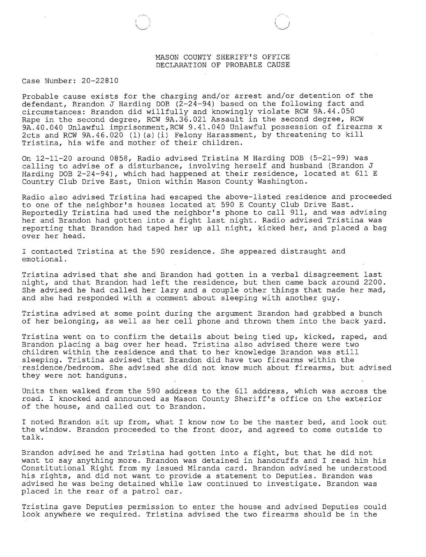#### MASON COUNTY SHERIFF'S OFFICE DECLARATION OF PROBABLE CAUSE

#### Case Number: 20-22810

Probable cause exists for the charging and/or arrest and/or detention of the defendant, Brandon J Harding DOB  $(\bar{2}-2\bar{4}-94)$  based on the following fact and circumstances: Brandon did willfully and knowingly violate RCW 9A.44.0. Rape in the second degree, RCW 9A.36.021 Assault in the second degree, RCW 9A.40.040 Unlawful imprisonment,RCW 9.41.040 Unlawful possession of firearms x 2cts and RCW 9A.46.020 (1) (a) (i) Felony Harassment, by threatening to kill Tristina, his wife and mother of their children.

On 12-11-20 around 0858, Radio advised Tristina M Harding DOB (5-21-99) was calling to advise of a disturbance, involving herself and husband (Brandon J Harding DOB 2-24-94), which had happened at their residence, located at 611 E Country Club Drive East, Union within Mason County Washington.

Radio also advised Tristina had escaped the above-listed residence and proceeded to one of the neighbor's houses located at 590 E County Club Drive East. Reportedly Tristina had used the neighbor's phone to call 911, and was advising her and Brandon had gotten into a fight last night. Radio advised Tristina was reporting that Brandon had taped her up all night, kicked her, and placed a bag over her head.

I contacted Tristina at the 590 residence. She appeared distraught and emotional.

Tristina advised that she and Brandon had gotten in a verbal disagreement last night, and that Brandon had left the residence, but then came back around 2200. She advised he had called her lazy and a couple other things that made her mad, and she had responded with a comment about sleeping with another guy.

Tristina advised at some point during the argument Brandon had grabbed a bunch of her belonging, as well as her cell phone and thrown them into the back yard.

Tristina went on to confirm the details about being tied up, kicked, raped, and Brandon placing a bag over her head. Tristina also advised there were two children within the residence and that to her knowledge Brandon was still sleeping. Tristina advised that Brandon did have two firearms within the residence/bedroom. She advised she did not know much about firearms, but advised they were not handguns.

Units then walked from the 590 address to the 611 address, which was across the road. I knocked and announced as Mason County Sheriff's office on the exterior of the house, and called out to Brandon.

I noted Brandon sit up from, what I know now to be the master bed, and look out the window. Brandon proceeded to the front door, and agreed to come outside to talk.

Brandon advised he and Tristina had gotten into a fight, but that he did not want to say anything more. Brandon was detained in handcuffs and I read him his Constitutional Right from my issued Miranda card. Brandon advised he understood his rights, and did not want to provide a statement to Deputies. Brandon was advised he was being detained while law continued to investigate. Brandon was placed in the rear of a patrol car.

Tristina gave Deputies permission to enter the house and advised Deputies could look anywhere we required. Tristina advised the two firearms should be in the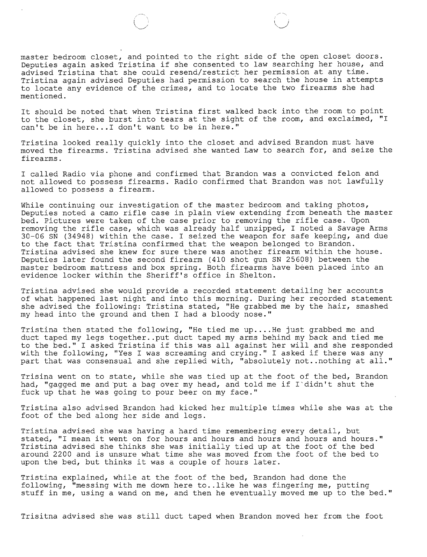master bedroom closet, and pointed to the right side of the open closet doors. Deputies again asked Tristina if she consented to law searching her house, and advised Tristina that she could resend/restrict her permission at any time. Tristina again advised Deputies had permission to search the house in attempts to locate any evidence of the crimes, and to locate the two firearms she had mentioned.

It should be noted that when Tristina first walked back into the room to point to the closet, she burst into tears at the sight of the room, and exclaimed, "I can't be in here... I don't want to be in here."

Tristina looked really quickly into the closet and advised Brandon must have moved the firearms. Tristina advised she wanted Law to search for, and seize the firearms.

I called Radio via phone and confirmed that Brandon was a convicted felon and not allowed to possess firearms. Radio confirmed that Brandon was not lawfully allowed to possess a firearm.

While continuing our investigation of the master bedroom and taking photos, Deputies noted a camo rifle case in plain view extending from beneath the master bed. Pictures were taken of the case prior to removing the rifle case. Upon removing the rifle case, which was already half unzipped, I noted a Savage Arms 30-06 SN (34948) within the case. I seized the weapon for safe keeping, and due to the fact that Tristina confirmed that the weapon belonged to Brandon. Tristina advised she knew for sure there was another firearm within the house. Deputies later found the second firearm (410 shot gun SN 25608) between the master bedroom mattress and box spring. Both firearms have been placed into an evidence locker within the Sheriff's office in Shelton.

Tristina advised she would provide a recorded statement detailing her accounts of what happened last night and into this morning. During her recorded statement she advised the following: Tristina stated, "He grabbed me by the hair, smashed my head into the ground and then I had a bloody nose."

Tristina then stated the following, "He tied me up.... He just grabbed me and duct taped my legs together .. put duct taped my arms behind my back and tied me to the bed." I asked Tristina if this was all against her will and she respond with the following, "Yes I was screaming and crying." I asked if there was any part that was consensual and she replied with, "absolutely not..nothing at all."

Trisina went on to state, while she was tied up at the foot of the bed, Brandon had, "gagged me and put a bag over my head, and told me if  $I$  didn't shut the fuck up that he was going to pour beer on my face."

Tristina also advised Brandon had kicked her multiple times while she was at the foot of the bed along her side and legs.

Tristina advised she was having a hard time remembering every detail, but stated, "I mean it went on for hours and hours and hours and hours and hours." Tristina advised she thinks she was initially tied up at the foot of the bed around 2200 and is unsure what time she was moved from the foot of the bed to upon the bed, but thinks it was a couple of hours later.

Tristina explained, while at the foot of the bed, Brandon had done the following, "messing with me down here to .. like he was fingering me, putting stuff in me, using a wand on me, and then he eventually moved me up to the bed."

Trisitna advised she was still duct taped when Brandon moved her from the foot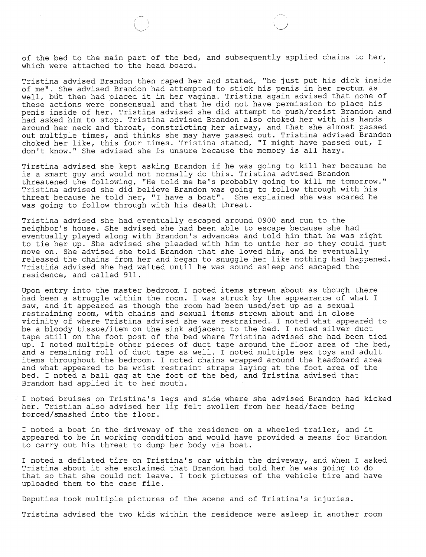of the bed to the main part of the bed, and subsequently applied chains to her, which were attached to the head board.

Tristina advised Brandon then raped her and stated, "he just put his dick inside of me". She advised Brandon had attempted to stick his penis in her rectum as well, but then had placed it in her vagina. Tristina again advised that none of these actions were consensual and that he did not have permission to place his penis inside of her. Tristina advised she did attempt to push/resist Brandon and had asked him to stop. Tristina advised Brandon also choked her with his hands around her neck and throat, constricting her airway, and that she almost passed out multiple times, and thinks she may have passed out. Tristina advised Brandon choked her like, this four times. Tristina stated, "I might have passed out, I don't know." She advised she is unsure because the memory is all hazy.

Tirstina advised she kept asking Brandon if he was going to kill her because he is a smart guy and would not normally do this. Tristina advised Brando threatened the following, "He told me he's probably going to kill me tomorrow." Tristina advised she did believe Brandon was going to follow through with hi threat because he told her, "I have a boat". She explained she was scared he was going to follow through with his death threat.

Tristina advised she had eventually escaped around 0900 and run to the neighbor's house. She advised she had been able to escape because she had eventually played along with Brandon's advances and told him that he was right to tie her up. She advised she pleaded with him to untie her so they could just move on. She advised she told Brandon that she loved him, and he eventually released the chains from her and began to snuggle her like nothing had happened. Tristina advised she had waited until he was sound asleep and escaped the residence, and called 911.

Upon entry into the master bedroom I noted items strewn about as though there had been a struggle within the room. I was struck by the appearance of what I saw, and it appeared as though the room had been used/set up as a sexual restraining room, with chains and sexual items strewn about and in close vicinity of where Tristina advised she was restrained. I noted what appeared to be a bloody tissue/item on the sink adjacent to the bed. I noted silver duct tape still on the foot post of the bed where Tristina advised she had been tied up. I noted multiple other pieces of duct tape around the floor area of the bed, and a remaining roll of duct tape as well. I noted multiple sex toys and adult items throughout the bedroom. I noted chains wrapped around the headboard are and what appeared to be wrist restraint straps laying at the foot area of the bed. I noted a ball gag at the foot of the bed, and Tristina advised that Brandon had applied it to her mouth.

I noted bruises on Tristina's legs and side where she advised Brandon had kicked her. Tristian also advised her lip felt swollen from her head/face being forced/smashed into the floor.

I noted a boat in the driveway of the residence on a wheeled trailer, and it appeared to be in working condition and would have provided a means for Brandon to carry out his threat to dump her body via boat.

I noted a deflated tire on Tristina's car within the driveway, and when I asked Tristina about it she exclaimed that Brandon had told her he was going to do that so that she could not leave. I took pictures of the vehicle tire and have uploaded them to the case file.

Deputies took multiple pictures of the scene and of Tristina's injuries.

Tristina advised the two kids within the residence were asleep in another room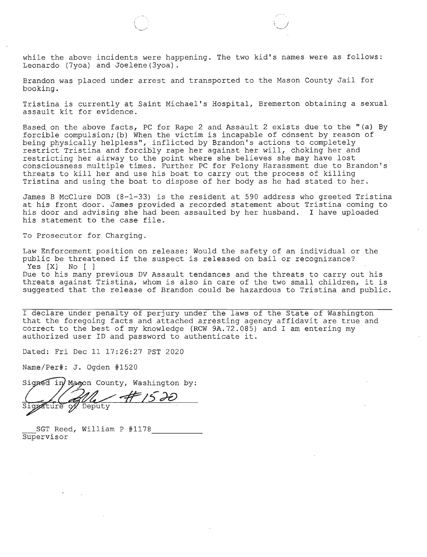while the above incidents were happening. The two kid's names were as follows: Leonardo (7yoa) and Joelene(3yoa).

Brandon was placed under arrest and transported to the Mason County Jail for booking.

Tristina is currently at Saint Michael's Hospital, Bremerton obtaining a sexual assault kit for evidence.

Based on the above facts, PC for Rape 2 and Assault 2 exists due to the "(a) By forcible compulsion; (b) When the victim is incapable of consent by reason of being physically helpless", inflicted by Brandon's actions to completely restrict Tristina and forcibly rape her against her will, choking her and restricting her airway to the point where she believes she may have lost consciousness multiple times. Further PC for Felony Harassment due to Brandon's threats to kill her and use his boat to carry out the process of killing Tristina and using the boat to dispose of her body as he had stated to her.

James B McClure DOB (8-1-33) is the resident at 590 address who greeted Tristina at his front door. James provided a recorded statement about Tristina coming to his door and advising she had been assaulted by her husband. I have uploaded his statement to the case file.

To Prosecutor for Charging.

Law Enforcement position on release: Would the safety of an individual or the public be threatened if the suspect is released on bail or recognizance? Yes [X] No [ ] Due to his many previous DV Assault tendances and the threats to carry out hi threats against Tristina, whom is also in care of the two small children, it is suggested that the release of Brandon could be hazardous to Tristina and public.

I declare under penalty of perjury under the laws of the State of Washington that the foregoing facts and attached arresting agency affidavit are true and correct to the best of my knowledge (RCW 9A.72.085) and I am entering my authorized user ID and password to authenticate it.

Dated: Fri Dec 11 17:26:27 PST 2020

Name/Per#: J. Ogden #1520

Signed in Mason County, Washington by:

 $47150$ of Deputy ature

SGT Reed, William P #1178\_<br>Supervisor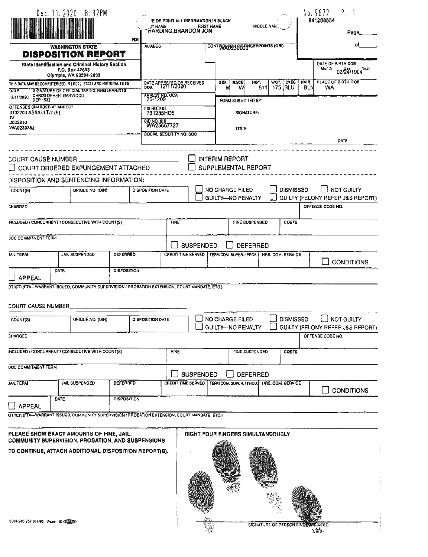|                                                                        |                     |      | Dec. 11. 2020 $8:32PM$                                                                                                                                                                                                                                 | <b>ST NAME</b><br>PCH | <b>E OR PRINT ALL INFORMATION IN BLACK</b><br><b>HARDING, BRANDON JON</b> |                    | <b>FIRST NAME</b> |            | MIDDLE NAM                                   |                       |      | P.<br>No. 9672<br>941268854<br>Page, |                           |                  |                                                                           |  |
|------------------------------------------------------------------------|---------------------|------|--------------------------------------------------------------------------------------------------------------------------------------------------------------------------------------------------------------------------------------------------------|-----------------------|---------------------------------------------------------------------------|--------------------|-------------------|------------|----------------------------------------------|-----------------------|------|--------------------------------------|---------------------------|------------------|---------------------------------------------------------------------------|--|
|                                                                        |                     |      | <b>WABHINGTON STATE</b><br>DISPOSITION REPORT                                                                                                                                                                                                          |                       | <b>ALIABES</b>                                                            |                    |                   |            | CONTRIBUTER OF GOOD CONTRIBUTES (ORI)        |                       |      |                                      |                           |                  |                                                                           |  |
|                                                                        |                     |      | <b>State Identification and Criminal History Section</b><br>P.O. Box 42633<br>Olympia, WA 98504-2633                                                                                                                                                   |                       |                                                                           |                    |                   |            |                                              |                       |      |                                      |                           | Month            | DATE OF BIRTH DOD<br>02/24/1994 Year                                      |  |
| DATE<br>12/11/2020                                                     | CHRISTOPHER GARWOOD |      | THIS DATA MAY BE COMPUTERIZED IN LOCAL, STATE AND NATIONAL FILES<br><b>SIGNATURE OF OFFICIAL TAKING FINGERPRINTS</b>                                                                                                                                   |                       | DATE ARRESTED OR RECEIVED<br><b>DOA</b><br>ARREST NO. OCA<br>20-1209      |                    |                   | <b>SEX</b> | RACE<br>w<br>M                               | HGT.<br>511           | WQT. | <b>EVES</b><br>175 BLU               | <b>HAIR</b><br><b>BLN</b> | WA               | PLACE OF BIRTH POB                                                        |  |
| <b>DEP 1532</b><br>OFFENSES CHARGED AT ARREST<br>0102200 ASSAULT-2 (B) |                     |      |                                                                                                                                                                                                                                                        |                       | FBI NO. FBI                                                               |                    |                   |            | FORM SUBMITTED BY:                           |                       |      |                                      |                           |                  |                                                                           |  |
| w<br>2022810<br>WA023035J                                              |                     |      |                                                                                                                                                                                                                                                        |                       | 731235HD5<br><b>3ID NO. 8ID</b><br>WA25657727<br>BOCIAL SECURITY NO. SOC  |                    |                   |            | SIGNATURE:<br>TITLE:                         |                       |      |                                      |                           |                  |                                                                           |  |
|                                                                        |                     |      |                                                                                                                                                                                                                                                        |                       |                                                                           |                    |                   |            |                                              |                       |      |                                      |                           |                  | DATE                                                                      |  |
| COURT CAUSE NUMBER                                                     |                     |      | COURT ORDERED EXPUNGEMENT ATTACHED                                                                                                                                                                                                                     |                       |                                                                           |                    |                   |            | <b>INTERIM REPORT</b><br>SUPPLEMENTAL REPORT |                       |      |                                      |                           |                  |                                                                           |  |
| COUNT(6)                                                               |                     |      | DISPOSITION AND SENTENCING INFORMATION:<br>UNIQUE NO. (OIN)                                                                                                                                                                                            |                       | DISPOSITION DATE                                                          |                    |                   |            | NO CHARGE FILED<br>GUILTY-NO PENALTY         |                       |      | <b>DISMISSED</b>                     |                           |                  | I NOT GUILTY<br>GUILTY (FELONY REFER J&S REPORT)                          |  |
| <b>CHARGED</b>                                                         |                     |      |                                                                                                                                                                                                                                                        |                       |                                                                           |                    |                   |            |                                              |                       |      |                                      |                           | OFFENSE CODE NO. |                                                                           |  |
|                                                                        |                     |      | NCLUDED / CONCURRENT / CONSECUTIVE WITH COUNT(S)                                                                                                                                                                                                       |                       |                                                                           | <b>FINE</b>        |                   |            |                                              | FINE SUBPENDED        |      | COSTS                                |                           |                  |                                                                           |  |
| <b>JOC COMMITMENT TERM</b>                                             |                     |      |                                                                                                                                                                                                                                                        |                       |                                                                           |                    | <b>SUSPENDED</b>  |            |                                              | DEFERRED              |      |                                      |                           |                  |                                                                           |  |
| <b>JAIL TERM</b>                                                       |                     |      | <b>JAIL SUSPENDED</b>                                                                                                                                                                                                                                  | <b>DEFERRED</b>       |                                                                           | CREDIT TIME SERVED |                   |            | TERM COM, SUPER, / PROB.                     |                       |      | HRS. COM, SERVICE                    |                           |                  | <b>CONDITIONS</b>                                                         |  |
| APPEAL                                                                 |                     | DATE | OTHER (FTA-WARRANT ISSUED, COMMUNITY SUPERVISION / PROBATION EXTENSION, COURT MANDATE, ETC.)                                                                                                                                                           | <b>DISPOSITION</b>    |                                                                           |                    |                   |            |                                              |                       |      |                                      |                           |                  |                                                                           |  |
| <b>COURT CAUSE NUMBER</b>                                              |                     |      |                                                                                                                                                                                                                                                        |                       |                                                                           |                    |                   |            |                                              |                       |      |                                      |                           |                  |                                                                           |  |
| COUNT(S)                                                               |                     |      | UNIQUE NO. (OIN)                                                                                                                                                                                                                                       |                       | <b>DISPOSITION DATE</b>                                                   |                    |                   |            | NO CHARGE FILED<br>GUILTY-NO PENALTY         |                       |      |                                      |                           |                  | DISMISSED <b>DISMISSED NOT GUILTY</b><br>GUILTY (FELONY REFER J&S REPORT) |  |
| CHARGED                                                                |                     |      |                                                                                                                                                                                                                                                        |                       |                                                                           |                    |                   |            |                                              |                       |      |                                      |                           | OFFENBE CODE NO. |                                                                           |  |
|                                                                        |                     |      | INCLUDED / CONCURRENT / CONSECUTIVE WITH COUNT(S)                                                                                                                                                                                                      |                       |                                                                           | FINE               |                   |            |                                              | <b>FINE SUSPENDED</b> |      | <b>COSTS</b>                         |                           |                  |                                                                           |  |
| DOC COMMITMENT TERM                                                    |                     |      |                                                                                                                                                                                                                                                        |                       |                                                                           |                    | <b>SUSPENDED</b>  |            |                                              | <b>DEFERRED</b>       |      |                                      |                           |                  |                                                                           |  |
| <b>JAIL TERM</b>                                                       |                     |      | JAIL SUSPENDED                                                                                                                                                                                                                                         | <b>DEFERRED</b>       |                                                                           | CHEDIT TIME SERVED |                   |            | TERM COM. SUPER. / PROB.                     |                       |      | HAS, COM. BERVICE                    |                           |                  | <b>CONDITIONS</b>                                                         |  |
| <b>APPEAL</b>                                                          |                     | DATE |                                                                                                                                                                                                                                                        | <b>DISPOSITION</b>    |                                                                           |                    |                   |            |                                              |                       |      |                                      |                           |                  |                                                                           |  |
|                                                                        |                     |      | OTHER (FTA-WARRANT ISSUED, COMMUNITY SUPERVISION / PROBATION EXTENSION, COURT MANDATE, ETC.)<br>PLEASE SHOW EXACT AMOUNTS OF FINE, JAIL,<br>COMMUNITY SUPERVISION, PROBATION, AND SUSPENSIONS<br>TO CONTINUE, ATTACH ADDITIONAL DISPOSITION REPORT(8). |                       |                                                                           |                    |                   |            | RIGHT FOUR FINGERS SIMULTANEOUSLY            |                       |      |                                      |                           |                  |                                                                           |  |

**BIGNATURE OF PERSON FINGERPHIRTED** 

龝

**Milletter** ang.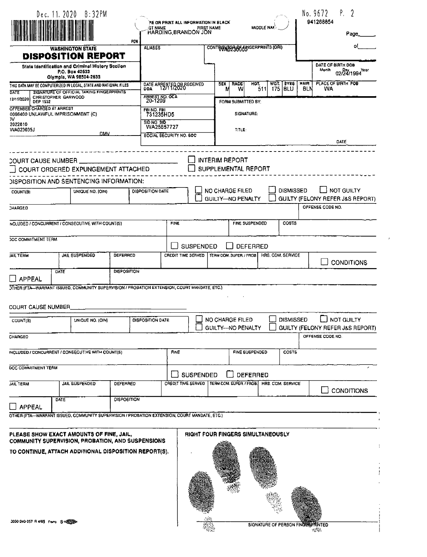|                                                                 | Dec. 11. 2020 8:32PM                                                                                       |                    |                                     | PE OR PRINT ALL INFORMATION IN BLACK                                |                  |                                              |                         |                 |                                          |                  | P.<br>2<br>No. 9672<br>941268854                                 |  |  |
|-----------------------------------------------------------------|------------------------------------------------------------------------------------------------------------|--------------------|-------------------------------------|---------------------------------------------------------------------|------------------|----------------------------------------------|-------------------------|-----------------|------------------------------------------|------------------|------------------------------------------------------------------|--|--|
|                                                                 |                                                                                                            |                    | <b>GT NAME</b>                      | HARDING, BRANDON JON                                                |                  | <b>FIRST NAME</b>                            |                         | MIDDLE NAM      |                                          |                  | Page                                                             |  |  |
|                                                                 | <b>WASHINGTON STATE</b>                                                                                    | <b>PCH</b>         | <b>ALIASES</b>                      |                                                                     |                  | CONTRIBUTO A GATERIAL TO AID                 |                         |                 |                                          |                  |                                                                  |  |  |
|                                                                 | <b>DISPOSITION REPORT</b><br>State Identification and Criminal History Section<br>P.O. Box 42633           |                    |                                     |                                                                     |                  |                                              |                         |                 |                                          |                  | DATE OF BIRTH DOB<br>Month<br>02/24/1994 Yesr                    |  |  |
|                                                                 | Olympia, WA 98504-2633<br>THIS DATA MAY BE COMPUTERIZED IN LOCAL, STATE AND NATIONAL FILES                 |                    |                                     | DATE ARRESTED OF RECEIVED                                           |                  | <b>SEX</b>                                   | RACE                    | HOT.            | <b>EVES</b><br>WGT.<br><b>BLU</b>        | MAIR<br>BLN      | PLACE OF BIRTH POB<br>WA                                         |  |  |
| DATE<br>CHRISTOPHER GARWOOD<br>12/11/2020<br><b>DEP 1552</b>    | <b>SIGNATURE OF OFFICIAL TAKING FINGERPRINTS</b>                                                           |                    | <b>ARREST NO. OCA</b><br>20-1209    |                                                                     |                  | N                                            | w<br>FORM SUBMITTED BY: | 511             | 175                                      |                  |                                                                  |  |  |
| OFFENSES CHARGED AT ARREST<br>0066400 UNLAWFUL IMPRISONMENT (C) |                                                                                                            |                    | FOI NO. FBI<br>731235HD5            |                                                                     |                  |                                              | SIGNATURE:              |                 |                                          |                  |                                                                  |  |  |
| <b>N</b><br>2022610<br>WA023035J                                |                                                                                                            |                    |                                     | <b>SID NO. 9ID</b><br>WA25657727                                    |                  |                                              |                         |                 |                                          |                  |                                                                  |  |  |
|                                                                 | <b>DMV</b>                                                                                                 |                    |                                     | <b>SOCIAL SECURITY NO. SOC</b>                                      |                  |                                              | TITLE:                  |                 |                                          |                  | DATE                                                             |  |  |
|                                                                 |                                                                                                            |                    |                                     |                                                                     |                  |                                              |                         |                 |                                          |                  |                                                                  |  |  |
| COURT CAUSE NUMBER                                              |                                                                                                            |                    |                                     |                                                                     |                  | <b>INTERIM REPORT</b><br>SUPPLEMENTAL REPORT |                         |                 |                                          |                  |                                                                  |  |  |
|                                                                 | COURT ORDERED EXPUNGEMENT ATTACHED<br>DISPOSITION AND SENTENCING INFORMATION:                              |                    |                                     |                                                                     |                  |                                              |                         |                 |                                          |                  |                                                                  |  |  |
| COUNT(9)                                                        | UNIQUE NO. (OIN)                                                                                           |                    | <b>DISPOSITION DATE</b>             |                                                                     |                  | NO CHARGE FILED<br><b>GUILTY-NO PENALTY</b>  |                         |                 |                                          | <b>DISMISSED</b> | <b>NOT GUILTY</b><br><b>GUILTY (FELONY REFER J&amp;S REPORT)</b> |  |  |
| CHARGED                                                         |                                                                                                            |                    |                                     |                                                                     |                  |                                              |                         |                 |                                          |                  | OFFENSE CODE NO.                                                 |  |  |
|                                                                 | NCLUDED / CONCURRENT / CONSECUTIVE WITH COUNT(S)                                                           |                    |                                     |                                                                     |                  |                                              | FINE SUSPENDED          | COSTS           |                                          |                  |                                                                  |  |  |
| <b>JOC COMMITMENT TERM</b>                                      |                                                                                                            |                    |                                     | <b>SUSPENDED</b>                                                    |                  |                                              | <b>DEFERRED</b>         |                 |                                          |                  |                                                                  |  |  |
| <b>JAIL TERM</b>                                                | JAIL SUSPENDED                                                                                             | <b>DEFERRED</b>    |                                     | CREDIT TIME SERVED<br>TERM COM. SUPER, / PROB.<br>HRS. COM, SERVICE |                  |                                              |                         |                 |                                          |                  | <b>CONDITIONS</b>                                                |  |  |
|                                                                 | <b>DATE</b>                                                                                                | <b>DISPOSITION</b> |                                     |                                                                     |                  |                                              |                         |                 |                                          |                  |                                                                  |  |  |
| <b>J</b> APPEAL                                                 | OTHER (FTA-WARRANT ISSUED, COMMUNITY SUPERVISION / PROBATION EXTENSION, COURT MANDATE, ETC.)               |                    |                                     |                                                                     |                  |                                              |                         |                 |                                          |                  |                                                                  |  |  |
| <b>COURT CAUSE NUMBER</b>                                       |                                                                                                            |                    |                                     |                                                                     |                  |                                              |                         |                 |                                          |                  |                                                                  |  |  |
| COUNT(S)                                                        | UNIQUE NO. (OIN)                                                                                           |                    | DISPOSITION DATE                    |                                                                     |                  | <b>NO CHARGE FILED</b>                       |                         |                 |                                          | <b>DISMISSED</b> | NOT GUILTY                                                       |  |  |
|                                                                 |                                                                                                            |                    |                                     |                                                                     |                  | GUILTY-NO PENALTY                            |                         |                 |                                          |                  | GUILTY (FELONY REFER J&S REPORT)<br>OFFENSE CODE NO.             |  |  |
| CHARGED                                                         |                                                                                                            |                    |                                     |                                                                     |                  |                                              |                         |                 |                                          |                  |                                                                  |  |  |
|                                                                 | INCLUDED / CONCURRENT / CONSECUTIVE WITH COUNT(S)                                                          |                    |                                     | FINE                                                                |                  |                                              |                         | FINE SUSPENDED  | <b>COSTS</b>                             |                  |                                                                  |  |  |
| DOC COMMITMENT TEAM                                             |                                                                                                            |                    |                                     |                                                                     | <b>SUSPENDED</b> |                                              |                         | <b>DEFERRED</b> |                                          |                  |                                                                  |  |  |
| <b>JAIL TERM</b>                                                | <b>JAIL SUSPENDED</b>                                                                                      | <b>DEFERRED</b>    |                                     | CREDIT TIME SERVED   TERM COM SUPER / PROB.                         |                  |                                              |                         |                 | HAS. COM. SERVICE                        |                  |                                                                  |  |  |
|                                                                 | DATE                                                                                                       | <b>DISPOSITION</b> |                                     |                                                                     |                  |                                              |                         |                 |                                          |                  | <b>CONDITIONS</b>                                                |  |  |
| APPEAL                                                          |                                                                                                            |                    |                                     |                                                                     |                  |                                              |                         |                 |                                          |                  |                                                                  |  |  |
|                                                                 | OTHER (FTA-WARRANT ISSUED, COMMUNITY SUPERVISION / PROBATION EXTENSION, COURT MANDATE, ETC.)               |                    |                                     |                                                                     |                  |                                              |                         |                 |                                          |                  |                                                                  |  |  |
|                                                                 | PLEASE SHOW EXACT AMOUNTS OF FINE, JAIL,                                                                   |                    |                                     |                                                                     |                  |                                              |                         |                 | <b>RIGHT FOUR FINGERS SIMULTANEOUSLY</b> |                  |                                                                  |  |  |
|                                                                 | COMMUNITY SUPERVISION, PROBATION, AND SUSPENSIONS<br>TO CONTINUE, ATTACH ADDITIONAL DISPOSITION REPORT(S). |                    |                                     |                                                                     |                  |                                              |                         |                 |                                          |                  |                                                                  |  |  |
|                                                                 |                                                                                                            |                    |                                     |                                                                     |                  |                                              |                         |                 |                                          |                  |                                                                  |  |  |
|                                                                 |                                                                                                            |                    |                                     |                                                                     |                  |                                              |                         |                 |                                          |                  |                                                                  |  |  |
|                                                                 |                                                                                                            |                    |                                     |                                                                     |                  |                                              |                         |                 |                                          |                  |                                                                  |  |  |
|                                                                 |                                                                                                            |                    |                                     |                                                                     |                  |                                              |                         |                 |                                          |                  |                                                                  |  |  |
|                                                                 |                                                                                                            |                    |                                     |                                                                     |                  |                                              |                         |                 |                                          |                  |                                                                  |  |  |
|                                                                 |                                                                                                            |                    | 3000-240-257 R 4/95 Frame 0 = 12500 |                                                                     |                  |                                              |                         |                 |                                          |                  | SIGNATURE OF PERSON FINGERENNTED<br>versi.                       |  |  |

 $\bar{\lambda}$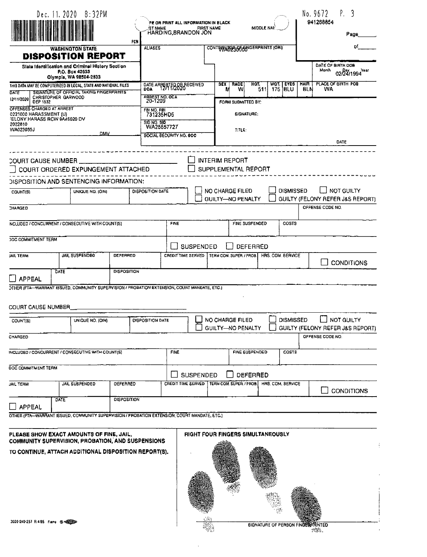|                                                                                                                 |      | Dec. 11. 2020 8:32PM                                                                                                       | PCN                | <b>IST NAME</b>           |                    | PE OR PRINT ALL INFORMATION IN BLACK<br><b>FIRST NAME</b><br>HARDING, BRANDON JON |                |                                                    | <b>MIDDLE NAK</b> |                               |                    | No. 9672<br>941268854      | Ρ.<br>3<br>Page                                |
|-----------------------------------------------------------------------------------------------------------------|------|----------------------------------------------------------------------------------------------------------------------------|--------------------|---------------------------|--------------------|-----------------------------------------------------------------------------------|----------------|----------------------------------------------------|-------------------|-------------------------------|--------------------|----------------------------|------------------------------------------------|
|                                                                                                                 |      | <b>WASHINGTON STATE</b>                                                                                                    |                    | <b>ALIASES</b>            |                    |                                                                                   |                | CONTRANDER BEGINDERPRINTS (ORI)                    |                   |                               |                    |                            | of                                             |
|                                                                                                                 |      | <b>DISPOSITION REPORT</b><br>State Identification and Criminal History Section<br>P.O. Box 42633<br>Olympia, WA 98504-2833 |                    |                           |                    |                                                                                   |                |                                                    |                   |                               |                    | DATE OF BIRTH DOB<br>Month | 02/24/1994 Year                                |
| THIS DATA MAY BE COMPUTERIZED IN LOCAL, STATE AND NATIONAL FILES                                                |      |                                                                                                                            |                    | DATE ARRESTED OF RECEIVED |                    |                                                                                   | 9EX I<br>M     | RACE<br>w                                          | HQT.<br>511       | WOT.   EYEB<br>175 <b>BLU</b> | <b>HAIR</b><br>BLN | WA                         | PLACE OF BIRTH POB                             |
| DATE<br>CHRISTOPHER GARWOOD<br>12/11/2020<br><b>DEP 1532</b>                                                    |      | SIGNATURE OF OFFICIAL TAKING FINGERPRINTS                                                                                  |                    | ARREST NO. OCA<br>20-1209 |                    |                                                                                   |                | FORM SUBMITTED BY:                                 |                   |                               |                    |                            |                                                |
| OFFENSES CHARGED AT ARREST<br>0221000 HARASSMENT (U)                                                            |      |                                                                                                                            |                    | FBI NO. FBI<br>731235HD5  |                    |                                                                                   |                | <b>SIGNATURE:</b>                                  |                   |                               |                    |                            |                                                |
| ELONY HARASS RCW 9A46020 DV<br>2022810<br>WA023035J                                                             |      |                                                                                                                            |                    | 810 NO. 910<br>WA25657727 |                    |                                                                                   |                | TITLE:                                             |                   |                               |                    |                            |                                                |
|                                                                                                                 |      | <b>DMV</b>                                                                                                                 |                    | SOCIAL BECURITY NO. 800   |                    |                                                                                   |                |                                                    |                   |                               |                    |                            | DATE                                           |
|                                                                                                                 |      |                                                                                                                            |                    |                           |                    |                                                                                   |                |                                                    |                   |                               |                    |                            |                                                |
| COURT CAUSE NUMBER                                                                                              |      | COURT ORDERED EXPUNGEMENT ATTACHED                                                                                         |                    |                           |                    |                                                                                   |                | <b>INTERIM REPORT</b><br>SUPPLEMENTAL REPORT       |                   |                               |                    |                            |                                                |
| DISPOSITION AND SENTENCING INFORMATION:                                                                         |      |                                                                                                                            |                    |                           |                    |                                                                                   |                |                                                    |                   |                               |                    |                            |                                                |
| COUNT(9)                                                                                                        |      | UNIQUE NO. (OIN)                                                                                                           |                    | DISPOSITION DATE          |                    |                                                                                   |                | <b>NO CHARGE FILED</b><br><b>GUILTY-NO PENALTY</b> |                   | <b>DISMISSED</b>              |                    |                            | NOT GUILTY<br>GUILTY (FELONY REFER J&S REPORT) |
| CHARGED                                                                                                         |      |                                                                                                                            |                    |                           |                    |                                                                                   |                |                                                    |                   |                               |                    | OFFENSE CODE NO.           |                                                |
| NCLUDED / CONCURRENT / CONSECUTIVE WITH COUNT(S)                                                                |      | FINE                                                                                                                       |                    |                           |                    |                                                                                   | FINE SUSPENDED | <b>COST9</b>                                       |                   |                               |                    |                            |                                                |
| <b>JOC COMMITMENT TERM</b>                                                                                      |      |                                                                                                                            |                    |                           |                    | <b>SUSPENDED</b>                                                                  |                |                                                    | <b>DEFERRED</b>   |                               |                    |                            |                                                |
| <b>JAIL TERM</b>                                                                                                |      | <b>JAIL SUSPENDED</b>                                                                                                      | <b>DEFERRED</b>    |                           | CREDIT TIME SERVED |                                                                                   |                | TERM COM. SUPER, / PROB.                           |                   | HRS. COM. SERVICE             |                    |                            |                                                |
|                                                                                                                 | DATE |                                                                                                                            | <b>DISPOSITION</b> |                           |                    |                                                                                   |                |                                                    |                   |                               |                    |                            | <b>CONDITIONS</b>                              |
| <b>J</b> APPEAL<br>OTHER (FTA-WARRANT ISSUED, COMMUNITY SUPERVISION / PROBATION EXTENSION, COURT MANDATE, ETC.) |      |                                                                                                                            |                    |                           |                    |                                                                                   |                |                                                    |                   |                               |                    |                            |                                                |
|                                                                                                                 |      |                                                                                                                            |                    |                           |                    |                                                                                   |                |                                                    |                   |                               |                    |                            |                                                |
| <b>COURT CAUSE NUMBER</b>                                                                                       |      |                                                                                                                            |                    |                           |                    |                                                                                   |                |                                                    |                   |                               |                    |                            |                                                |
| COUNT(S)                                                                                                        |      | UNIQUE NO. (OIN)                                                                                                           |                    | DISPOSITION DATE          |                    |                                                                                   |                | <b>NO CHARGE FILED</b><br>GUILTY-NO PENALTY        |                   | <b>DISMISSED</b>              |                    |                            | NOT GUILTY<br>GUILTY (FELONY REFER J&S REPORT) |
| CHARGED-                                                                                                        |      |                                                                                                                            |                    |                           |                    |                                                                                   |                |                                                    |                   |                               |                    | OFFENSE CODE NO.           |                                                |
| INCLUDED / CONCURRENT / CONSECUTIVE WITH COUNT(S)                                                               |      |                                                                                                                            |                    |                           | <b>FINE</b>        |                                                                                   |                |                                                    | FINE SUSPENDED    | COSTS                         |                    |                            |                                                |
| DOC COMMITMENT TEAM                                                                                             |      |                                                                                                                            |                    |                           |                    | <b>SUSPENDED</b>                                                                  |                |                                                    | DEFERRED          |                               |                    |                            |                                                |
| <b>JAIL TERM</b>                                                                                                |      | JAIL SUSPENDED                                                                                                             | DEFERRED           |                           |                    | CREDIT TIME SERVED   TERM COM SUPER / PROB.                                       |                |                                                    |                   | HRS. COM. SERVICE             |                    |                            | <b>CONDITIONS</b>                              |
| $\Box$ APPEAL                                                                                                   | DATE |                                                                                                                            | <b>DISPOSITION</b> |                           |                    |                                                                                   |                |                                                    |                   |                               |                    |                            |                                                |
| OTHER (FTA-WARRANT ISSUED, COMMUNITY SUPERVISION / PROBATION EXTENSION, COURT MANDATE, ETC.)                    |      |                                                                                                                            |                    |                           |                    |                                                                                   |                |                                                    |                   |                               |                    |                            |                                                |
| PLEASE SHOW EXACT AMOUNTS OF FINE, JAIL,                                                                        |      |                                                                                                                            |                    |                           |                    | <b>RIGHT FOUR FINGERS SIMULTANEOUSLY</b>                                          |                |                                                    |                   |                               |                    |                            |                                                |
| <b>COMMUNITY SUPERVISION, PROBATION, AND SUSPENSIONS</b>                                                        |      |                                                                                                                            |                    |                           |                    |                                                                                   |                |                                                    |                   |                               |                    |                            |                                                |
| TO CONTINUE, ATTACH ADDITIONAL DISPOSITION REPORT(S).                                                           |      |                                                                                                                            |                    |                           |                    |                                                                                   |                |                                                    |                   |                               |                    |                            |                                                |

 $\mathbb{C}^{(n)}$ 

龝

 $\overline{a}$ 

3000-240-257 R 4/85 Frame O 4222230

**EXECUTIVE OF PERSON FINCERS PRINTED** 

 $\ddot{.}$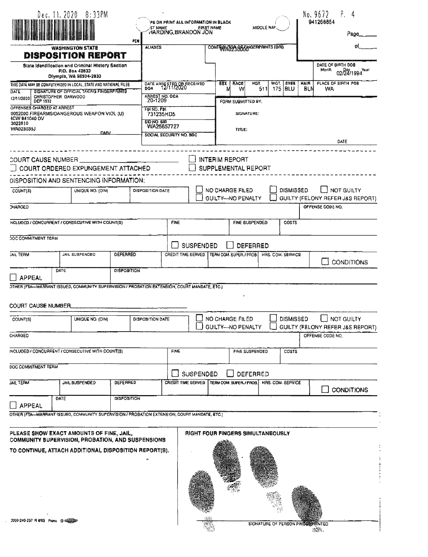|                                                                                                                                                                                         | Dec. 11. 2020 8:33PM                                                                                                                 |                    |                                                      | PE OR PAINT ALL INFORMATION IN BLACK         |                       | Ρ.<br>No. 9672<br>4<br>941268854     |                                   |                                   |                   |                  |                    |                                                                           |  |  |
|-----------------------------------------------------------------------------------------------------------------------------------------------------------------------------------------|--------------------------------------------------------------------------------------------------------------------------------------|--------------------|------------------------------------------------------|----------------------------------------------|-----------------------|--------------------------------------|-----------------------------------|-----------------------------------|-------------------|------------------|--------------------|---------------------------------------------------------------------------|--|--|
|                                                                                                                                                                                         |                                                                                                                                      |                    | <b>ST NAME</b>                                       | HARDING BRANDON JON                          |                       | <b>FIRST NAME</b>                    |                                   | MIDDLE NAI                        |                   |                  |                    | Page                                                                      |  |  |
|                                                                                                                                                                                         | <b>WASHINGTON STATE</b>                                                                                                              | PEN                | <b>ALIASES</b>                                       |                                              |                       |                                      |                                   | CONTRIBUTOS BOOMGERPRINTS (ORI)   |                   |                  |                    |                                                                           |  |  |
|                                                                                                                                                                                         | <b>DISPOSITION REPORT</b><br>State Identification and Criminal History Saction<br>Р.О. Вол 42633<br>Olympia, WA 98504-2633           |                    |                                                      |                                              |                       |                                      |                                   |                                   |                   |                  |                    | DATE OF BIRTH DOB<br>Monih<br>02/24/1994 Year                             |  |  |
| DATE<br>12/11/2020<br>DEP 1532                                                                                                                                                          | THIS DATA MAY BE COMPUTERIZED IN LOCAL, STATE AND NATIONAL FILES<br>SIGNATURE OF OFFICIAL TAKING FINGERPRINTS<br>CHRISTOPHER GARWOOD |                    | ARREST NO. OCA                                       | DATE ARRESTED OR RECEIVED                    |                       | <b>GEX</b><br>M                      | <b>RACE</b><br>w                  | HGT.<br>511<br>FORM SUBMITTED BY: | WGT.<br>$175$ BLU | EVEB             | <b>HAIR</b><br>BLN | PLACE OF BIRTH POB<br>WA                                                  |  |  |
| OFFENSES CHARGED AT ARREST<br><b>ICW 941040 DV</b><br>2022810<br>WA023035J                                                                                                              | 0052000 FIREARMS/DANGEROUS WEAPON VIOL (U)                                                                                           | <b>DMV</b>         | FBINO, FBI<br>731235HD5<br>SID NO. SID<br>WA25657727 | SOCIAL SECURITY NO. SOC                      |                       |                                      | TITLE:                            | SIGNATURE:                        |                   |                  |                    | DATE                                                                      |  |  |
| <b>COURT CAUSE NUMBER</b><br>DISPOSITION AND SENTENCING INFORMATION;                                                                                                                    | COURT ORDERED EXPUNGEMENT ATTACHED                                                                                                   |                    |                                                      |                                              | <b>INTERIM REPORT</b> |                                      | SUPPLEMENTAL REPORT               |                                   |                   |                  |                    |                                                                           |  |  |
| COUNT(S)<br>CHARGED                                                                                                                                                                     | UNIQUE NO. (OIN)                                                                                                                     |                    | <b>DISPOSITION DATE</b>                              |                                              |                       | NO CHARGE FILED<br>GUILTY-NO PENALTY |                                   |                                   |                   | <b>DISMISSED</b> |                    | <b>NOT GUILTY</b><br>GUILTY (FELONY REFER J&S REPORT)<br>OFFENSE CODE NO. |  |  |
| NCLUDED / CONCURRENT / CONSECUTIVE WITH COUNT(S)                                                                                                                                        | <b>FINE</b>                                                                                                                          |                    |                                                      |                                              | FINE SUSPENDED        |                                      | <b>COSTS</b>                      |                                   |                   |                  |                    |                                                                           |  |  |
|                                                                                                                                                                                         |                                                                                                                                      |                    |                                                      |                                              |                       |                                      |                                   |                                   |                   |                  |                    |                                                                           |  |  |
|                                                                                                                                                                                         | <b>JOC COMMITMENT TERM</b>                                                                                                           |                    |                                                      |                                              |                       | <b>SUSPENDED</b><br><b>DEFERRED</b>  |                                   |                                   |                   |                  |                    |                                                                           |  |  |
| <b>JAIL TERM</b>                                                                                                                                                                        | JAIL SUSPENDED                                                                                                                       | <b>DEFERRED</b>    |                                                      | CREDIT TIME SERVED                           |                       | TEAM COM. SUPER, / PROB.             |                                   |                                   | HRS. COM. SERVICE |                  |                    | <b>CONDITIONS</b>                                                         |  |  |
| <b>APPEAL</b><br>OTHER (FTA-WARRANT ISSUED, COMMUNITY SUPERVISION / PROBATION EXTENSION, COURT MANDATE, ETC.)<br><b>COURT CAUSE NUMBER</b>                                              |                                                                                                                                      |                    |                                                      |                                              |                       |                                      |                                   |                                   |                   |                  |                    |                                                                           |  |  |
| COUNT(S)                                                                                                                                                                                | UNIQUE NO. (OIN)                                                                                                                     |                    | DISPOSITION DATE                                     |                                              |                       | NO CHARGE FILED<br>GUILTY-NO PENALTY |                                   |                                   |                   | <b>DISMISSED</b> |                    | <b>NOT GUILTY</b><br>GUILTY (FELONY REFER J&S REPORT)                     |  |  |
| CHARGED                                                                                                                                                                                 |                                                                                                                                      |                    |                                                      |                                              |                       |                                      |                                   |                                   |                   |                  |                    | OFFENSE CODE NO.                                                          |  |  |
| INCLUDED / CONCURRENT / CONSECUTIVE WITH COUNT(3)                                                                                                                                       |                                                                                                                                      |                    |                                                      | FINE                                         |                       |                                      |                                   | FINE SUSPENDED                    |                   | COSTS            |                    |                                                                           |  |  |
| DOC COMMITMENT TERM                                                                                                                                                                     |                                                                                                                                      |                    |                                                      |                                              | <b>SUSPENDED</b>      |                                      |                                   | DEFERRED                          |                   |                  |                    |                                                                           |  |  |
| <b>JAIL TERM</b>                                                                                                                                                                        | JAIL SUSPENDED                                                                                                                       | DEFEARED           |                                                      | CREDIT TIME SERVED   TERM COM. SUPER./ PROB. |                       |                                      |                                   |                                   | HRG. COM. SERVICE |                  |                    |                                                                           |  |  |
|                                                                                                                                                                                         | OATE                                                                                                                                 | <b>DISPOSITION</b> |                                                      |                                              |                       |                                      |                                   |                                   |                   |                  |                    | <b>CONDITIONS</b>                                                         |  |  |
| <b>APPEAL</b><br>OTHER (FTA WARRANT ISSUED, COMMUNITY SUPERVISION / PROBATION EXTENSION, COURT MANDATE, ETC.)                                                                           |                                                                                                                                      |                    |                                                      |                                              |                       |                                      |                                   |                                   |                   |                  |                    |                                                                           |  |  |
| PLEASE SHOW EXACT AMOUNTS OF FINE, JAIL,<br>COMMUNITY SUPERVISION, PROBATION, AND SUSPENSIONS<br>TO CONTINUE, ATTACH ADDITIONAL DISPOSITION REPORT(S).<br>3000-240-257 F14/95 Frams @ 0 |                                                                                                                                      |                    |                                                      |                                              |                       |                                      | RIGHT FOUR FINGERS SIMULTANEOUSLY |                                   |                   |                  |                    |                                                                           |  |  |
|                                                                                                                                                                                         |                                                                                                                                      |                    |                                                      |                                              |                       |                                      |                                   | SIGNATURE OF PERSON PINGEEPHINTED |                   |                  |                    | <b>国家</b>                                                                 |  |  |

 $\bar{\beta}$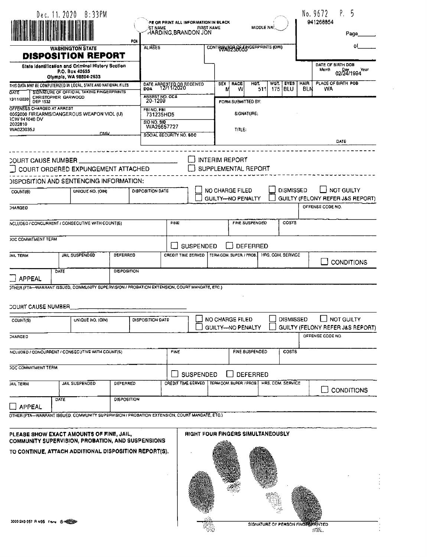|                                                    | Dec. 11. 2020 8:33PM                                                                                           |                    |                                               |                           | PE OR PRINT ALL INFORMATION IN BLACK     |          |                                       |                                            |             |                     |                                                | P.<br>No. 9672<br>941268854                          | ל                  |  |
|----------------------------------------------------|----------------------------------------------------------------------------------------------------------------|--------------------|-----------------------------------------------|---------------------------|------------------------------------------|----------|---------------------------------------|--------------------------------------------|-------------|---------------------|------------------------------------------------|------------------------------------------------------|--------------------|--|
|                                                    |                                                                                                                |                    | <b>ST NAME</b>                                |                           | <b>FIRST NAME</b><br>HARDING BRANDON JON |          |                                       | <b>MIDDLE NAI?</b>                         |             |                     |                                                |                                                      | Page               |  |
|                                                    | <b>WASHINGTON STATE</b>                                                                                        | PCN                | <b>ALIASES</b>                                |                           |                                          |          |                                       | CONTRUSTOR OF ENGERPRINTS (ORI)            |             |                     |                                                |                                                      | ٥I                 |  |
|                                                    | <b>DISPOSITION REPORT</b>                                                                                      |                    |                                               |                           |                                          |          |                                       |                                            |             |                     |                                                |                                                      |                    |  |
|                                                    | State Identification and Criminal History Section<br>P.O. Box 42635<br>Olympia, WA 98504-2633                  |                    |                                               |                           |                                          |          |                                       |                                            |             |                     |                                                | DATE OF BIRTH DOB<br>Month                           | 02/24/1994<br>Year |  |
| OAYE                                               | THIS DATA MAY BE COMPUTERIZED IN LOCAL, STATE AND NATIONAL FILES.<br>SIGNATURE OF OFFICIAL TAKING FINGERPRINTS |                    | DATE ARRESTED OF RECEIVED                     |                           |                                          | SEX<br>N | RACE<br>W                             | HGT.<br>511                                | WQT.<br>175 | <b>EYES</b><br> BLU | <b>HAIR</b><br><b>BLN</b>                      | PLACE OF BIRTH POB<br>WA                             |                    |  |
| 12/11/2020<br><b>DEP 1532</b>                      | CHRISTOPHER GARWOOD                                                                                            |                    | ARREST NO. OCA<br>20-1209                     |                           |                                          |          | FORM SUBMITTED BY:                    |                                            |             |                     |                                                |                                                      |                    |  |
| OFFENSES CHARGED AT ARREST<br><b>ICW 941040 DV</b> | 0052000 FIREARMS/DANGEROUS WEAPON VIOL (U)                                                                     |                    | FBINO, FBI<br>731235HD5<br><b>SID NO. SID</b> |                           |                                          |          | <b>GIGNATURE:</b>                     |                                            |             |                     |                                                |                                                      |                    |  |
| 2022810<br>WA023035J                               | <b>DMV</b>                                                                                                     |                    | WA25657727<br>SOCIAL SECURITY NO. SOC         |                           |                                          |          | TITLE:                                |                                            |             |                     |                                                |                                                      |                    |  |
|                                                    |                                                                                                                |                    |                                               |                           |                                          |          |                                       |                                            |             |                     |                                                | DATE                                                 |                    |  |
| COURT CAUSE NUMBER                                 |                                                                                                                |                    |                                               |                           |                                          |          | <b>INTERIM REPORT</b>                 |                                            |             |                     |                                                |                                                      |                    |  |
|                                                    | COURT ORDERED EXPUNGEMENT ATTACHED                                                                             |                    |                                               |                           |                                          |          |                                       | SUPPLEMENTAL REPORT                        |             |                     |                                                |                                                      |                    |  |
|                                                    | DISPOSITION AND SENTENCING INFORMATION:                                                                        |                    |                                               |                           |                                          |          |                                       |                                            |             |                     |                                                |                                                      |                    |  |
| COUNT(8)                                           | UNIOUE NO. (OIN)                                                                                               |                    | DISPOSITION DATE                              |                           |                                          |          | NO CHARGE FILED<br>GUILTY--NO PENALTY |                                            |             | <b>DISMISSED</b>    | NOT GUILTY<br>GUILTY (FELONY REFER J&S REPORT) |                                                      |                    |  |
| <b>CHARGEO</b>                                     |                                                                                                                |                    |                                               |                           |                                          |          |                                       |                                            |             |                     |                                                | OFFENSE CODE NO.                                     |                    |  |
|                                                    | NCLUDED / CONCURRENT / CONSECUTIVE WITH COUNT(6)                                                               |                    |                                               | <b>FINE</b>               |                                          |          |                                       | <b>FINE SUSPENDED</b>                      |             | COSTS               |                                                |                                                      |                    |  |
| JOC COMMITMENT TERM                                |                                                                                                                |                    | <b>SUSPENDED</b><br><b>DEFERRED</b>           |                           |                                          |          |                                       |                                            |             |                     |                                                |                                                      |                    |  |
| <b>JAIL TERM</b>                                   | JAIL SUSPENDED                                                                                                 | DEFERRED           |                                               | <b>CREDIT TIME SERVED</b> |                                          |          | TERM COM. SUPER. / PROB.              |                                            |             | HAS, COM, SERVICE   |                                                |                                                      |                    |  |
|                                                    |                                                                                                                |                    |                                               |                           |                                          |          |                                       |                                            |             |                     |                                                |                                                      | <b>CONDITIONS</b>  |  |
| APPEAL                                             | DATE                                                                                                           | <b>DISPOSITION</b> |                                               |                           |                                          |          |                                       |                                            |             |                     |                                                |                                                      |                    |  |
|                                                    | OTHER (FTA-WARRANT ISSUED, COMMUNITY SUPERVISION / PROBATION EXTENSION, COURT MANDATE, ETC.)                   |                    |                                               |                           |                                          |          |                                       |                                            |             |                     |                                                |                                                      |                    |  |
| <b>COURT CAUSE NUMBER</b>                          |                                                                                                                |                    |                                               |                           |                                          |          |                                       |                                            |             |                     |                                                |                                                      |                    |  |
| COUNT(S)                                           | UNIQUE NO. (OIN)                                                                                               |                    | DISPOSITION DATE                              |                           |                                          |          | NO CHARGE FILED                       |                                            |             | <b>DISMISSED</b>    |                                                | <b>NOT GUILTY</b>                                    |                    |  |
| <b>CHARGED</b>                                     |                                                                                                                |                    |                                               |                           |                                          |          | <b>GUILTY--- NO PENALTY</b>           |                                            |             |                     |                                                | GUILTY (FELONY REFER JAS REPORT)<br>OFFENSE CODE NO. |                    |  |
|                                                    |                                                                                                                |                    |                                               |                           |                                          |          |                                       |                                            |             |                     |                                                |                                                      |                    |  |
|                                                    | NCLUDED / CONCURRENT / CONSECUTIVE WITH COUNT(S)                                                               |                    |                                               | <b>FINE</b>               |                                          |          |                                       | FINE BUSPENDED                             |             | COST <sub>6</sub>   |                                                |                                                      |                    |  |
| <b>JOC COMMITMENT TERM</b>                         |                                                                                                                |                    |                                               |                           | <b>SUSPENDED</b>                         |          |                                       | DEFERRED                                   |             |                     |                                                |                                                      |                    |  |
| <b>JAIL TERM</b>                                   | <b>JAIL SUSPENDED</b>                                                                                          | DEFERRED           |                                               | CREDIT TIME GERVED        |                                          |          |                                       | TERM COM. BUPER. / PROB. HRS. COM. SERVICE |             |                     |                                                | $\rightarrow$                                        | <b>CONDITIONS</b>  |  |
| APPEAL                                             | DATE                                                                                                           | <b>DISPOSITION</b> |                                               |                           |                                          |          |                                       |                                            |             |                     |                                                |                                                      |                    |  |
|                                                    | OTHER (FTA-WARRANT ISSUED, COMMUNITY SUPERVISION / PROBATION EXTENSION, COURT MANDATE, ETC.)                   |                    |                                               |                           |                                          |          |                                       |                                            |             |                     |                                                |                                                      |                    |  |
|                                                    | PLEASE SHOW EXACT AMOUNTS OF FINE, JAIL,                                                                       |                    |                                               |                           | <b>RIGHT FOUR FINGERS SIMULTANEOUSLY</b> |          |                                       |                                            |             |                     |                                                |                                                      |                    |  |
|                                                    | COMMUNITY SUPERVISION, PROBATION, AND SUSPENSIONS                                                              |                    |                                               |                           |                                          |          |                                       |                                            |             |                     |                                                |                                                      |                    |  |
|                                                    | TO CONTINUE, ATTACH ADDITIONAL DISPOSITION REPORT(S).                                                          |                    |                                               |                           |                                          |          |                                       |                                            |             |                     |                                                |                                                      |                    |  |
|                                                    |                                                                                                                |                    |                                               |                           |                                          |          |                                       |                                            |             |                     |                                                |                                                      |                    |  |
|                                                    |                                                                                                                |                    |                                               |                           |                                          |          |                                       |                                            |             |                     |                                                |                                                      |                    |  |
|                                                    |                                                                                                                |                    |                                               |                           |                                          |          |                                       |                                            |             |                     |                                                |                                                      |                    |  |
|                                                    |                                                                                                                |                    |                                               |                           |                                          |          |                                       |                                            |             |                     |                                                |                                                      |                    |  |

t.

SIGNATURE OF PERSON FINGERATIVED

 $\frac{1}{2}$